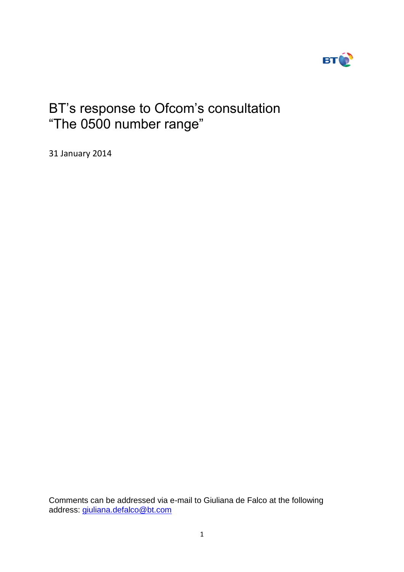

# BT's response to Ofcom's consultation "The 0500 number range"

31 January 2014

Comments can be addressed via e-mail to Giuliana de Falco at the following address: [giuliana.defalco@bt.com](mailto:giuliana.defalco@bt.com)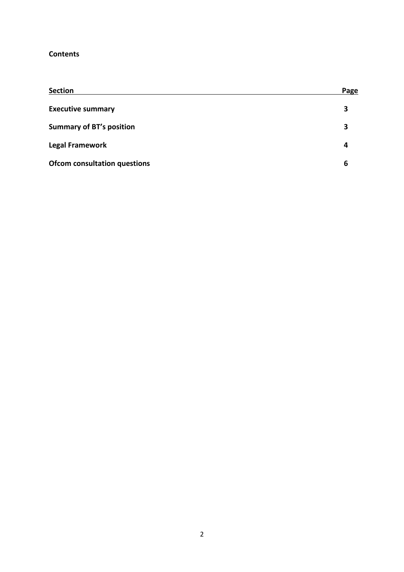## **Contents**

| <b>Section</b>                      | Page |
|-------------------------------------|------|
| <b>Executive summary</b>            | 3    |
| <b>Summary of BT's position</b>     | 3    |
| <b>Legal Framework</b>              | 4    |
| <b>Ofcom consultation questions</b> | 6    |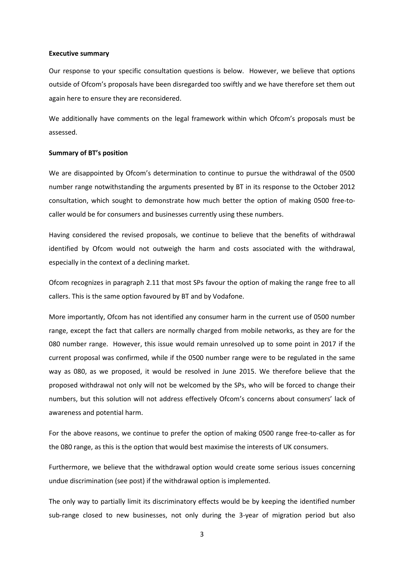#### **Executive summary**

Our response to your specific consultation questions is below. However, we believe that options outside of Ofcom's proposals have been disregarded too swiftly and we have therefore set them out again here to ensure they are reconsidered.

We additionally have comments on the legal framework within which Ofcom's proposals must be assessed.

#### **Summary of BT's position**

We are disappointed by Ofcom's determination to continue to pursue the withdrawal of the 0500 number range notwithstanding the arguments presented by BT in its response to the October 2012 consultation, which sought to demonstrate how much better the option of making 0500 free-tocaller would be for consumers and businesses currently using these numbers.

Having considered the revised proposals, we continue to believe that the benefits of withdrawal identified by Ofcom would not outweigh the harm and costs associated with the withdrawal, especially in the context of a declining market.

Ofcom recognizes in paragraph 2.11 that most SPs favour the option of making the range free to all callers. This is the same option favoured by BT and by Vodafone.

More importantly, Ofcom has not identified any consumer harm in the current use of 0500 number range, except the fact that callers are normally charged from mobile networks, as they are for the 080 number range. However, this issue would remain unresolved up to some point in 2017 if the current proposal was confirmed, while if the 0500 number range were to be regulated in the same way as 080, as we proposed, it would be resolved in June 2015. We therefore believe that the proposed withdrawal not only will not be welcomed by the SPs, who will be forced to change their numbers, but this solution will not address effectively Ofcom's concerns about consumers' lack of awareness and potential harm.

For the above reasons, we continue to prefer the option of making 0500 range free-to-caller as for the 080 range, as this is the option that would best maximise the interests of UK consumers.

Furthermore, we believe that the withdrawal option would create some serious issues concerning undue discrimination (see post) if the withdrawal option is implemented.

The only way to partially limit its discriminatory effects would be by keeping the identified number sub-range closed to new businesses, not only during the 3-year of migration period but also

3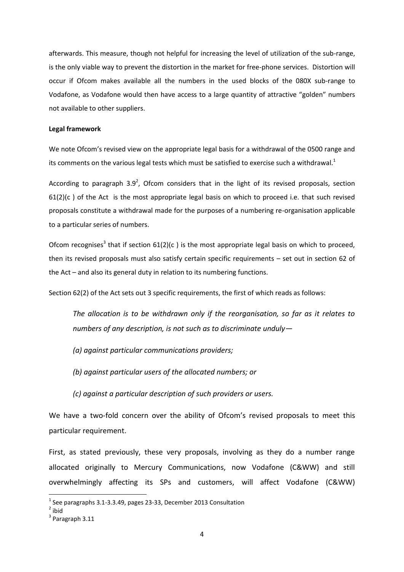afterwards. This measure, though not helpful for increasing the level of utilization of the sub-range, is the only viable way to prevent the distortion in the market for free-phone services. Distortion will occur if Ofcom makes available all the numbers in the used blocks of the 080X sub-range to Vodafone, as Vodafone would then have access to a large quantity of attractive "golden" numbers not available to other suppliers.

#### **Legal framework**

We note Ofcom's revised view on the appropriate legal basis for a withdrawal of the 0500 range and its comments on the various legal tests which must be satisfied to exercise such a withdrawal.<sup>1</sup>

According to paragraph  $3.9^2$ , Ofcom considers that in the light of its revised proposals, section  $61(2)(c)$  of the Act is the most appropriate legal basis on which to proceed i.e. that such revised proposals constitute a withdrawal made for the purposes of a numbering re-organisation applicable to a particular series of numbers.

Ofcom recognises<sup>3</sup> that if section  $61(2)(c)$  is the most appropriate legal basis on which to proceed, then its revised proposals must also satisfy certain specific requirements – set out in section 62 of the Act – and also its general duty in relation to its numbering functions.

Section 62(2) of the Act sets out 3 specific requirements, the first of which reads as follows:

*The allocation is to be withdrawn only if the reorganisation, so far as it relates to numbers of any description, is not such as to discriminate unduly—*

- *(a) against particular communications providers;*
- *(b) against particular users of the allocated numbers; or*
- *(c) against a particular description of such providers or users.*

We have a two-fold concern over the ability of Ofcom's revised proposals to meet this particular requirement.

First, as stated previously, these very proposals, involving as they do a number range allocated originally to Mercury Communications, now Vodafone (C&WW) and still overwhelmingly affecting its SPs and customers, will affect Vodafone (C&WW)

**.** 

 $<sup>1</sup>$  See paragraphs 3.1-3.3.49, pages 23-33, December 2013 Consultation</sup>

 $2$  ibid

 $3$  Paragraph 3.11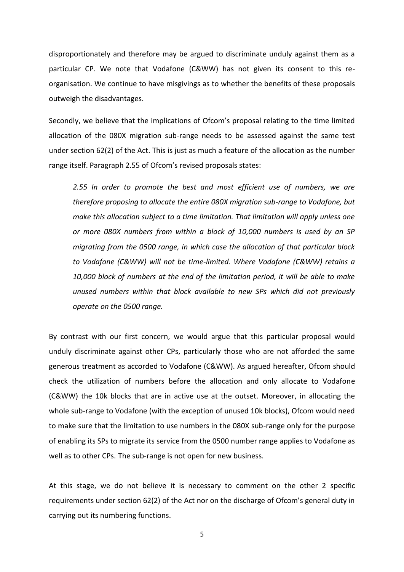disproportionately and therefore may be argued to discriminate unduly against them as a particular CP. We note that Vodafone (C&WW) has not given its consent to this reorganisation. We continue to have misgivings as to whether the benefits of these proposals outweigh the disadvantages.

Secondly, we believe that the implications of Ofcom's proposal relating to the time limited allocation of the 080X migration sub-range needs to be assessed against the same test under section 62(2) of the Act. This is just as much a feature of the allocation as the number range itself. Paragraph 2.55 of Ofcom's revised proposals states:

*2.55 In order to promote the best and most efficient use of numbers, we are therefore proposing to allocate the entire 080X migration sub-range to Vodafone, but make this allocation subject to a time limitation. That limitation will apply unless one or more 080X numbers from within a block of 10,000 numbers is used by an SP migrating from the 0500 range, in which case the allocation of that particular block to Vodafone (C&WW) will not be time-limited. Where Vodafone (C&WW) retains a 10,000 block of numbers at the end of the limitation period, it will be able to make unused numbers within that block available to new SPs which did not previously operate on the 0500 range.* 

By contrast with our first concern, we would argue that this particular proposal would unduly discriminate against other CPs, particularly those who are not afforded the same generous treatment as accorded to Vodafone (C&WW). As argued hereafter, Ofcom should check the utilization of numbers before the allocation and only allocate to Vodafone (C&WW) the 10k blocks that are in active use at the outset. Moreover, in allocating the whole sub-range to Vodafone (with the exception of unused 10k blocks), Ofcom would need to make sure that the limitation to use numbers in the 080X sub-range only for the purpose of enabling its SPs to migrate its service from the 0500 number range applies to Vodafone as well as to other CPs. The sub-range is not open for new business.

At this stage, we do not believe it is necessary to comment on the other 2 specific requirements under section 62(2) of the Act nor on the discharge of Ofcom's general duty in carrying out its numbering functions.

5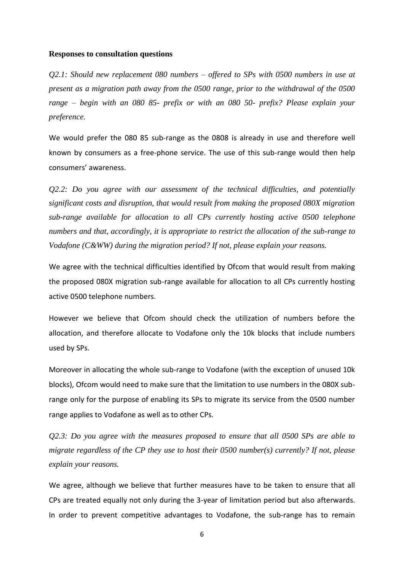### **Responses to consultation questions**

*Q2.1: Should new replacement 080 numbers – offered to SPs with 0500 numbers in use at present as a migration path away from the 0500 range, prior to the withdrawal of the 0500 range – begin with an 080 85- prefix or with an 080 50- prefix? Please explain your preference.* 

We would prefer the 080 85 sub-range as the 0808 is already in use and therefore well known by consumers as a free-phone service. The use of this sub-range would then help consumers' awareness.

*Q2.2: Do you agree with our assessment of the technical difficulties, and potentially significant costs and disruption, that would result from making the proposed 080X migration sub-range available for allocation to all CPs currently hosting active 0500 telephone numbers and that, accordingly, it is appropriate to restrict the allocation of the sub-range to Vodafone (C&WW) during the migration period? If not, please explain your reasons.* 

We agree with the technical difficulties identified by Ofcom that would result from making the proposed 080X migration sub-range available for allocation to all CPs currently hosting active 0500 telephone numbers.

However we believe that Ofcom should check the utilization of numbers before the allocation, and therefore allocate to Vodafone only the 10k blocks that include numbers used by SPs.

Moreover in allocating the whole sub-range to Vodafone (with the exception of unused 10k blocks), Ofcom would need to make sure that the limitation to use numbers in the 080X subrange only for the purpose of enabling its SPs to migrate its service from the 0500 number range applies to Vodafone as well as to other CPs.

*Q2.3: Do you agree with the measures proposed to ensure that all 0500 SPs are able to migrate regardless of the CP they use to host their 0500 number(s) currently? If not, please explain your reasons.* 

We agree, although we believe that further measures have to be taken to ensure that all CPs are treated equally not only during the 3-year of limitation period but also afterwards. In order to prevent competitive advantages to Vodafone, the sub-range has to remain

6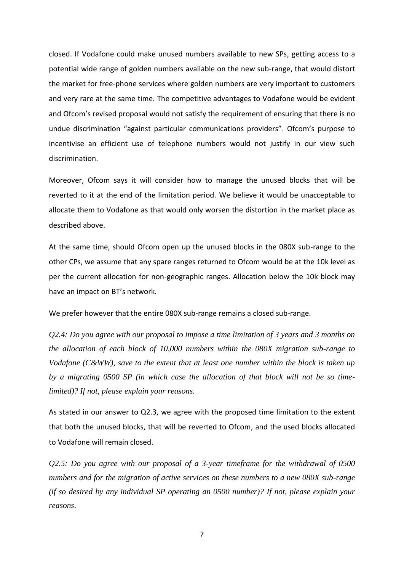closed. If Vodafone could make unused numbers available to new SPs, getting access to a potential wide range of golden numbers available on the new sub-range, that would distort the market for free-phone services where golden numbers are very important to customers and very rare at the same time. The competitive advantages to Vodafone would be evident and Ofcom's revised proposal would not satisfy the requirement of ensuring that there is no undue discrimination "against particular communications providers". Ofcom's purpose to incentivise an efficient use of telephone numbers would not justify in our view such discrimination.

Moreover, Ofcom says it will consider how to manage the unused blocks that will be reverted to it at the end of the limitation period. We believe it would be unacceptable to allocate them to Vodafone as that would only worsen the distortion in the market place as described above.

At the same time, should Ofcom open up the unused blocks in the 080X sub-range to the other CPs, we assume that any spare ranges returned to Ofcom would be at the 10k level as per the current allocation for non-geographic ranges. Allocation below the 10k block may have an impact on BT's network.

We prefer however that the entire 080X sub-range remains a closed sub-range.

*Q2.4: Do you agree with our proposal to impose a time limitation of 3 years and 3 months on the allocation of each block of 10,000 numbers within the 080X migration sub-range to Vodafone (C&WW), save to the extent that at least one number within the block is taken up by a migrating 0500 SP (in which case the allocation of that block will not be so timelimited)? If not, please explain your reasons.* 

As stated in our answer to Q2.3, we agree with the proposed time limitation to the extent that both the unused blocks, that will be reverted to Ofcom, and the used blocks allocated to Vodafone will remain closed.

*Q2.5: Do you agree with our proposal of a 3-year timeframe for the withdrawal of 0500 numbers and for the migration of active services on these numbers to a new 080X sub-range (if so desired by any individual SP operating an 0500 number)? If not, please explain your reasons*.